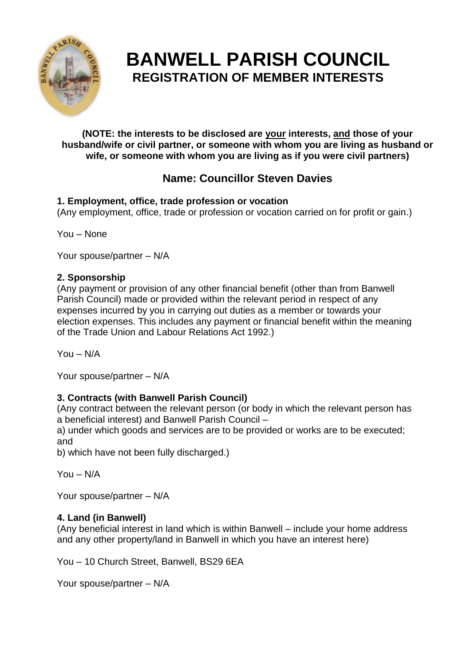

# **BANWELL PARISH COUNCIL REGISTRATION OF MEMBER INTERESTS**

**(NOTE: the interests to be disclosed are your interests, and those of your husband/wife or civil partner, or someone with whom you are living as husband or wife, or someone with whom you are living as if you were civil partners)**

## **Name: Councillor Steven Davies**

## **1. Employment, office, trade profession or vocation**

(Any employment, office, trade or profession or vocation carried on for profit or gain.)

You – None

Your spouse/partner – N/A

## **2. Sponsorship**

(Any payment or provision of any other financial benefit (other than from Banwell Parish Council) made or provided within the relevant period in respect of any expenses incurred by you in carrying out duties as a member or towards your election expenses. This includes any payment or financial benefit within the meaning of the Trade Union and Labour Relations Act 1992.)

You – N/A

Your spouse/partner – N/A

## **3. Contracts (with Banwell Parish Council)**

(Any contract between the relevant person (or body in which the relevant person has a beneficial interest) and Banwell Parish Council –

a) under which goods and services are to be provided or works are to be executed; and

b) which have not been fully discharged.)

You – N/A

Your spouse/partner – N/A

## **4. Land (in Banwell)**

(Any beneficial interest in land which is within Banwell – include your home address and any other property/land in Banwell in which you have an interest here)

You – 10 Church Street, Banwell, BS29 6EA

Your spouse/partner – N/A